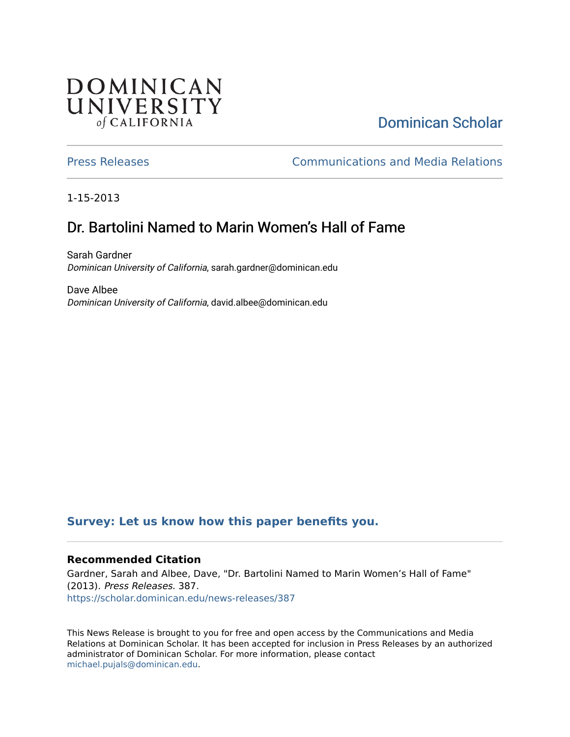## **DOMINICAN** UNIVERSITY of CALIFORNIA

# [Dominican Scholar](https://scholar.dominican.edu/)

[Press Releases](https://scholar.dominican.edu/news-releases) [Communications and Media Relations](https://scholar.dominican.edu/communications-media) 

1-15-2013

# Dr. Bartolini Named to Marin Women's Hall of Fame

Sarah Gardner Dominican University of California, sarah.gardner@dominican.edu

Dave Albee Dominican University of California, david.albee@dominican.edu

### **[Survey: Let us know how this paper benefits you.](https://dominican.libwizard.com/dominican-scholar-feedback)**

#### **Recommended Citation**

Gardner, Sarah and Albee, Dave, "Dr. Bartolini Named to Marin Women's Hall of Fame" (2013). Press Releases. 387. [https://scholar.dominican.edu/news-releases/387](https://scholar.dominican.edu/news-releases/387?utm_source=scholar.dominican.edu%2Fnews-releases%2F387&utm_medium=PDF&utm_campaign=PDFCoverPages)

This News Release is brought to you for free and open access by the Communications and Media Relations at Dominican Scholar. It has been accepted for inclusion in Press Releases by an authorized administrator of Dominican Scholar. For more information, please contact [michael.pujals@dominican.edu.](mailto:michael.pujals@dominican.edu)